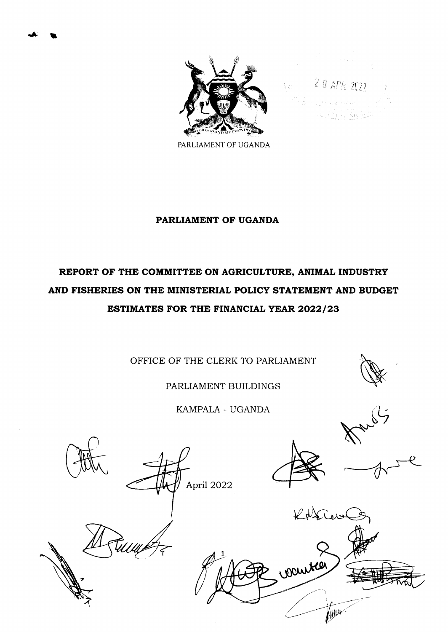

 $-2.0$  APR 2022

PARLIAMENT OF UGANDA

### PARLIAMENT OF UGANDA

# REPORT OF THE COMMITTEE ON AGRICULTURE, ANIMAL INDUSTRY AND FISHERIES ON THE MINISTERIAL POLICY STATEMENT AND BUDGET ESTIMATES FOR THE FINANCIAL YEAR 2022/23

OFFICE OF THE CLERK TO PARLIAMENT

PARLIAMENT BUILDINGS

KAMPALA - UGANDA

**NEW** 





April 2022

.,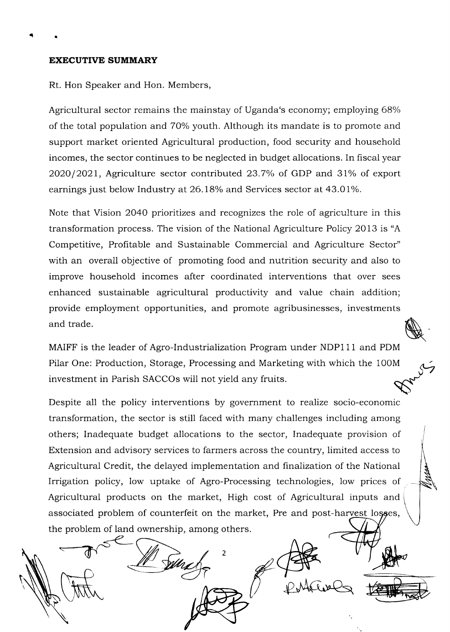#### EXECUTIVE SUMMARY

 $\ddot{\phantom{a}}$ 

Rt. Hon Speaker and Hon. Members,

Agricultural sector remains the mainstay of Uganda's economy; employing 68% of the total population and 70% youth. Although its mandate is to promote and support market oriented Agricultural production, food security and household incomes, the sector continues to be neglected in budget aliocations. In fiscal year  $2020/2021$ , Agriculture sector contributed 23.7% of GDP and 31% of export earnings just below Industry at 26.18% and Services sector at 43.01%.

Note that Vision 2040 prioritizes and recognizes the role of agriculture in this transformation process. The vision of the National Agriculture Policy 2Ol3 is "A Competitive, Profitable and Sustainable Commercial and Agriculture Sector" with an overall objective of promoting food and nutrition security and also to improve household incomes after coordinated interventions that over sees enhanced sustainable agricultural productivity and value chain addition; provide employment opportunities, and promote agribusinesses, investments and trade.

MAIFF is the leader of Agro-Industrialization Program under NDP111 and PDM Pilar One: Production, Storage, Processing and Marketing with which the 100M investment in Parish SACCOs will not yield any fruits.

Despite all the policy interventions by government to realize socio-economic transformation, the sector is still faced with many challenges including among others; Inadequate budget allocations to the sector, Inadequate provision of Extension and advisory services to farmers across the country, limited access to Agricultural Credit, the delayed implementation and finalization of the National Irrigation policy, low uptake of Agro-Processing technologies, low prices of Agricultural products on the market, High cost of Agricultural inputs and associated problem of counterfeit on the market, Pre and post-harvest lo the problem of land ownership, among others.

 $\mathfrak z$ 

**NA**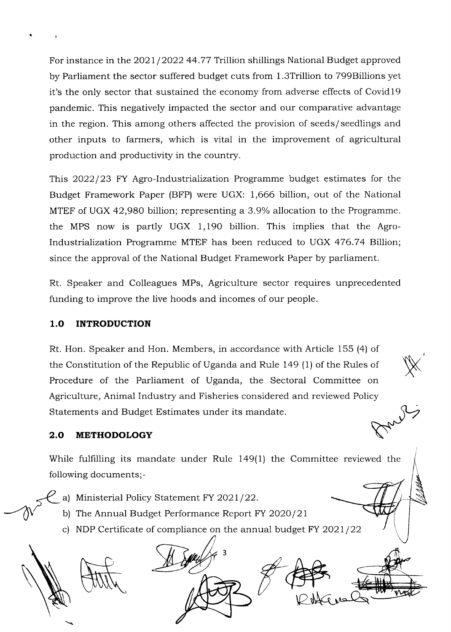For instance in the 2021/2022 44.77 Trillion shillings National Budget approved by Parliament the sector suffered budget cuts from 1.3Trillion to 799Billions yet it's the only sector that sustained the economy from adverse effects of Covidl9 pandemic. This negatively impacted the sector and our comparative advantage in the region. This among others affected the provision of seeds/seedlings and other inputs to farmers, which is vital in the improvement of agricultural production and productivity in the country.

This 2022/23 FY Agro-Industrialization Programme budget estimates for the Budget Framework Paper (BFP) were UGX: 7,666 billion, out of the National MTEF of UGX 42,980 billion; representing a 3.9% allocation to the Programme. the MPS now is partly UGX 1,190 billion. This implies that the Agro-Industrialization Programme MTEF has been reduced to UGX 476.74 Billion; since the approval of the National Budget Framework Paper by parliament.

Rt. Speaker and Colleagues MPs, Agriculture sector requires unprecedented funding to improve the live hoods and incomes of our people.

# 1.O INTRODUCTION

1

Rt. Hon. Speaker and Hon. Members, in accordance with Article 155 (4) of the Constitution of the Republic of Uganda and Ruie 149 (1) of the Rules of Procedure of the Parliament of Uganda, the Sectoral Committee on Agriculture, Animal Industry and Fisheries considered and reviewed Policy Statements and Budget Estimates under its mandate.

 $\mathbb{X}$ 

# 2.O METHODOLOGY

While fulfilling its mandate under Rule 149(1) the Committee reviewed the following documents;-

- a) Ministerial Policy Statement FY 2021/22.
- b) The Annual Budget Performance Report FY  $2020/21$
- c) NDP Certificate of compliance on the annual budget  $FY$  2021/22

3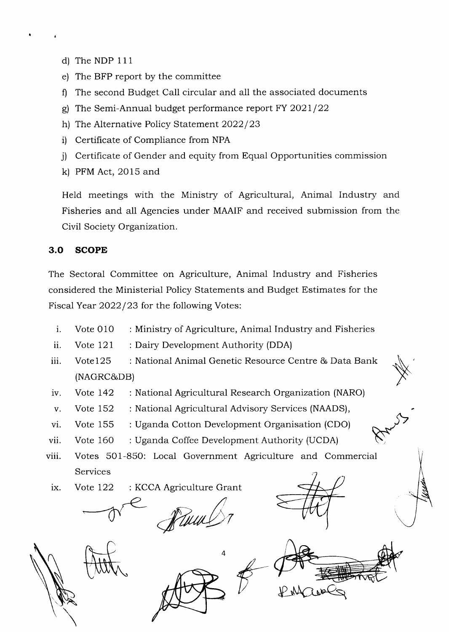- d) The NDP 111
- e) The BFP report by the committee
- f) The second Budget Call circular and all the associated documents
- g) The Semi-Annual budget performance report  $FY$  2021/22
- h) The Alternative Policy Statement 2022/23
- i) Certificate of Compliance from NPA
- j) Certificate of Gender and equity from Equal Opportunities commission
- k) PFM Act, 2015 and

Held meetings with the Ministry of Agricultural, Animal Industry and Fisheries and all Agencies under MAAIF and received submission from the Civil Society Organization.

# 3.O SCOPE

The Sectoral Committee on Agriculture, Animal Industry and Fisheries considered the Ministerial Policy Statements and Budget Estimates for the Fiscal Year 2022/23 for the following Votes:

- $i.$  Vote 010 Ministry of Agriculture, Animal Industry and Fisheries
- Vote  $121$ Dairy Development Authority (DDA) ii.
- Vote 125 National Animal Genetic Resource Centre & Data Bank iii (NAGRC&DB)
- lV. Vote 142 : National Agricultural Research Organization (NARO)
- V. Vote 152 : National Agricultural Advisory Services (NAADS),
- vi. Vote 155 : Uganda Cotton Development Organisation (CDO)
- vii. Vote 160 : Uganda Coffee Development Authority (UCDA)
- viii. Votes 501-850: Local Government Agriculture and Commercial Services
- ix. Vote 122 : KCCA Agriculture Grant







N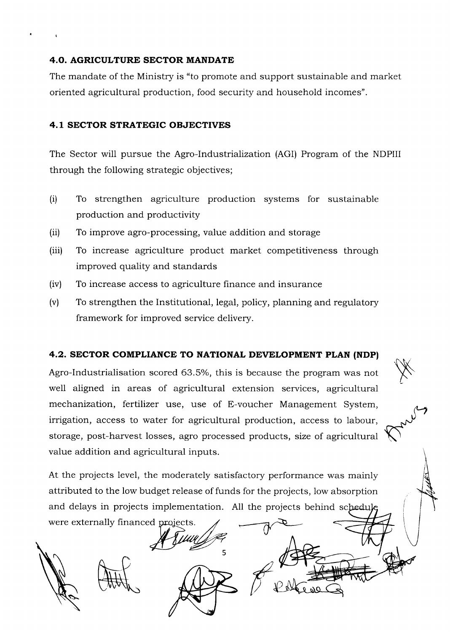### 4.O. AGRICULTURE SECTOR MANDATE

The mandate of the Ministry is "to promote and support sustainable and market oriented agricultural production, food security and household incomes".

## 4.1 SECTOR STRATEGIC OBJECTIVES

The Sector will pursue the Agro-Industrialization (AGI) Program of the NDPIII through the following strategic objectives;

- (i) To strengthen agriculture production systems for sustainable production and productivity
- To improve agro-processing, value addition and storage (ii)
- To increase agriculture product market competitiveness through improved quality and standards (iii)
- To increase access to agriculture finance and insurance (iv)
- To strengthen the Institutional, legal, policy, planning and regulatory framework for improved service delivery. (v)

### 4.2. SECTOR COMPLIANCE TO NATIONAL DEVELOPMENT PLAN (NDP)

Agro-Industrialisation scored 63.5%, this is because the program was not well aligned in areas of agricultural extension services, agricultural mechanization, fertilizer use, use of E-voucher Management System, irrigation, access to water for agricultural production, access to labour, storage, post-harvest losses, agro processed products, size of agricultural value addition and agricultural inputs.

X

At the projects level, the moderately satisfactory performance was mainly attributed to the low budget release of funds for the projects, low absorption and delays in projects implementation. All the projects behind scheduk were externally financed projects.

5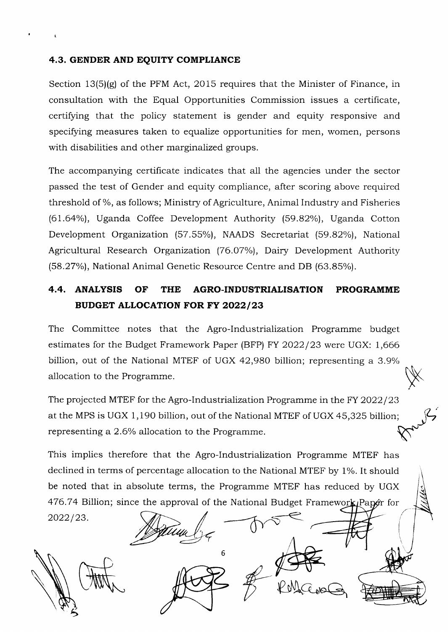### 4.3. GENDER AND EQUITY COMPLIANCE

(

Section  $13(5)(g)$  of the PFM Act, 2015 requires that the Minister of Finance, in consultation with the Equal Opportunities Commission issues a certificate, certifying that the policy statement is gender and equity responsive and specifying measures taken to equalize opportunities for men, women, persons with disabilities and other marginalized groups.

The accompanying certificate indicates that all the agencies under the sector passed the test of Gender and equity compliance, after scoring above required threshold of %, as follows; Ministry of Agriculture, Animal Industry and Fisheries (61.64%), Uganda Coffee Development Authority (59.82%), Uganda Cotton Development Organization (57.55%), NAADS Secretariat (59.82%), National Agricultural Research Organization (76.O7%), Dairy Development Authority (58.27%), National Animal Genetic Resource Centre and DB (63.85%).

# 4.4. ANALYSIS OF THE AGRO.INDUSTRIALISATION PROGRAMME BUDGET ALLOCATION FOR FY 2022/23

The Committee notes that the Agro-lndustrialization Programme budget estimates for the Budget Framework Paper (BFP) FY  $2022/23$  were UGX: 1,666 billion, out of the National MTEF of UGX 42,980 billion; representing a 3.9% allocation to the Programme.

 $\times$ 

The projected MTEF for the Agro-Industrialization Programme in the FY 2022/23 at the MPS is UGX 1,190 billion, out of the National MTEF of UGX 45,325 billion; representing a 2.6% allocation to the Programme.

This implies therefore that the Agro-lndustrialization Programme MTEF has declined in terms of percentage allocation to the National MTEF by 1%. It should be noted that in absolute terms, the Programme MTEF has reduced by UGX 476.74 Billion; since the approval of the National Budget Framework Papér for

2022/23.

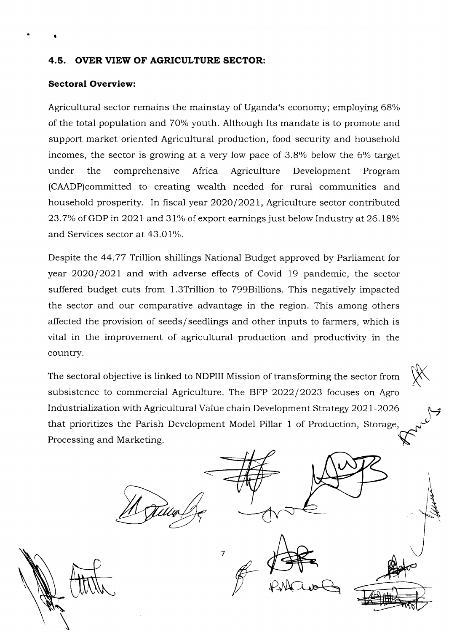### 4.5. OVER VIEW OF AGRICULTURE SECTOR:

#### Sectoral Overview:

a

Agricultural sector remains the mainstay of Uganda's economy; employing 68% of the total population and 70% youth. Although Its mandate is to promote and support market oriented Agricultural production, food security and household incomes, the sector is growing at a very low pace of  $3.8\%$  below the 6% target under the comprehensive Africa Agriculture Development Program (CAADP)committed to creating wealth needed for rural communities and household prosperity. In fiscal year 2020/2021, Agriculture sector contributed 23.7% of GDP in 2021 and 31% of export earnings just below Industry at  $26.18%$ and Services sector at 43.01%.

Despite the 44.77 Trillion shillings National Budget approved by Parliament for year 2020/2021 and with adverse effects of Covid 19 pandemic, the sector suffered budget cuts from 1.3Trillion to 799Blllions. This negatively impacted the sector and our comparative advantage in the region. This among others affected the provision of seeds/seedlings and other inputs to farmers, which is vital in the improvement of agricultural production and productivity in the country.

The sectoral objective is linked to NDPIII Mission of transforming the sector from subsistence to commercial Agriculture. The BFP  $2022/2023$  focuses on Agro Industrialization with Agricultural Value chain Development Strategy 2021-2026 that prioritizes the Parish Development Model Pillar 1 of Production, Storage, Processing and Marketing.

7

K

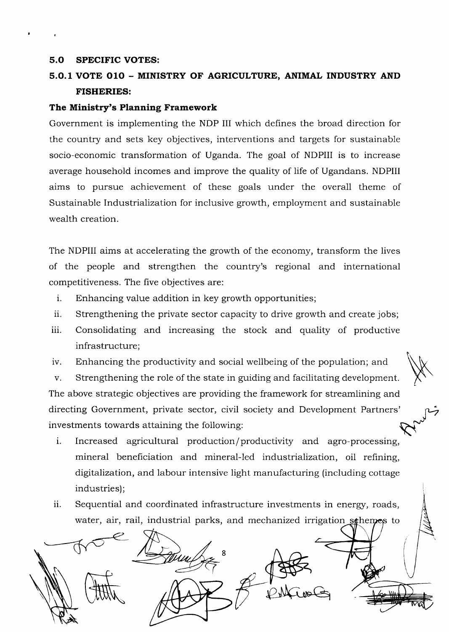#### 5.O SPECIFIC VOTES:

# 5.O.1 VOTE O1O - MINISTRY OF AGRICULTURE, ANIMAL INDUSTRY AND FISHERIES:

#### The Ministry's Planning Framework

Government is implementing the NDP III which defines the broad direction for the country and sets key objectives, interventions and targets for sustainable socio-economic transformation of Uganda. The goal of NDPIII is to increase average household incomes and improve the quality of life of Ugandans. NDPIII aims to pursue achievement of these goals under the overall theme of Sustainable Industrialization for inclusive growth, employment and sustainable wealth creation.

The NDPIII aims at accelerating the growth of the economy, transform the lives of the people and strengthen the country's regional and international competitiveness. The five objectives are:

- i. Enhancing value addition in key growth opportunities;
- ii. Strengthening the private sector capacity to drive growth and create jobs;
- iii. Consolidating and increasing the stock and quality of productive infrastructure;
- iv. Enhancing the productivity and social wellbeing of the population; and

v. Strengthening the role of the state in guiding and facilitating development. The above strategic objectives are providing the framework for streamlining and directing Government, private sector, civil society and Development Partners' investments towards attaining the following:

- i. Increased agricultural production/productivity and agro-processing, mineral beneficiation and mineral-led industrialization, oil refining, digttalization, and labour intensive light manufacturing (including cottage industries);
- ii. Sequential and coordinated infrastructure investments in energy, roads, water, air, rail, industrial parks, and mechanized irrigation sehemes to

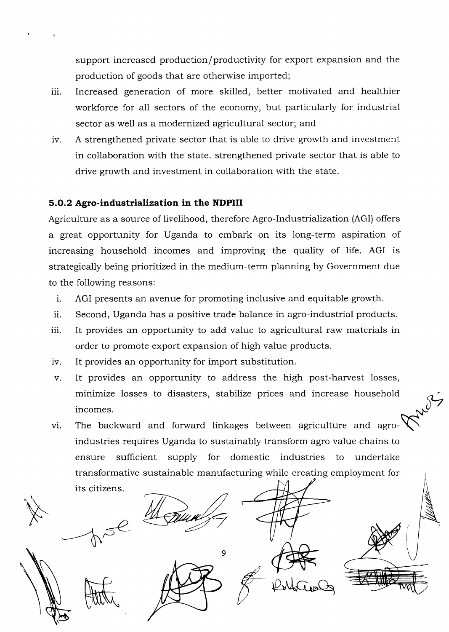support increased production/productivity for export expansion and the production of goods that are otherwise imported;

- iii. Increased generation of more skilled, better motivated and healthier workforce for all sectors of the economy, but particularly for industrial sector as well as a modernized agricultural sector; and
- iv. A strengthened private sector that is able to drive growth and investment in collaboration with the state. strengthened private sector that is able to drive growth and investment in collaboration with the state.

# 5.O.2 Agro-industrialization in the NDPIII

Agriculture as a source of livelihood, therefore Agro-Industrialization (AGI) offers a great opportunity for Uganda to embark on its long-term aspiration of increasing household incomes and improving the quality of life. AGI is strategically being prioritized in the medium-term planning by Government due to the following reasons:

- i. AGI presents an avenue for promoting inclusive and equitable growth.
- ii. Second, Uganda has a positive trade balance in agro-industrial products.
- iii. It provides an opportunity to add value to agricultural raw materials in order to promote export expansion of high value products.
- iv. It provides an opportunity for import substitution.
- v. It provides an opportunity to address the high post-harvest losses, minimize losses to disasters, stabilize prices and increase household incomes.
- The backward and forward linkages between agriculture and agroindustries requires Uganda to sustainably transform agro value chains to ensure sufficient supply for domestic industries to undertake transformative sustainable manufacturing while creating employment for its citizens vi.

9



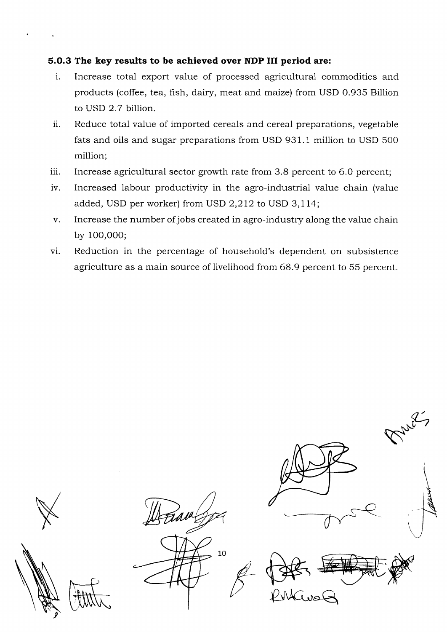# 5.O.3 The key results to be achieved over NDP III period are:

- i. Increase total export value of processed agricultural commodities and products (coffee, tea, fish, dairy, meat and maize) from USD 0.935 Billion to USD 2.7 billion.
- ii. Reduce total value of imported cereals and cereal preparations, vegetable fats and oils and sugar preparations from USD 931.1 million to USD 500 million;
- 111. Increase agricultural sector growth rate from 3.8 percent to 6.0 percent;
- iv. Increased labour productivity in the agro-industrial value chain (value added, USD per worker) from USD 2,272 to USD 3,174;
- Increase the number ofjobs created in agro-industry along the value chain by 100,000; V
- Reduction in the percentage of household's dependent on subsistence agriculture as a main source of livelihood from 68.9 percent to 55 percent. vi.

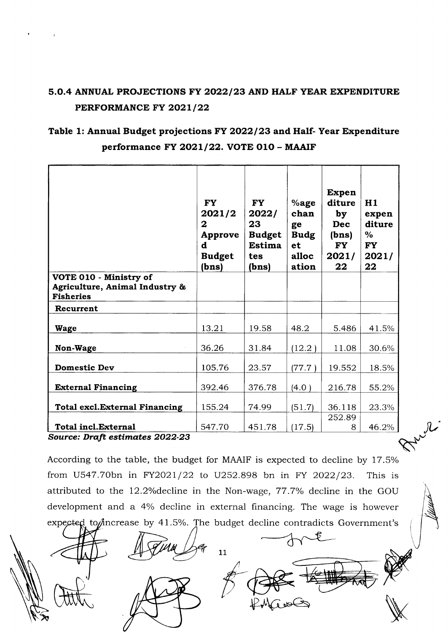# 5.0.4 ANNUAL PROJECTIONS FY 2022/23 AND HALF YEAR EXPENDITURE PERFORMANCE FY 2021/22

# Table 1: Annual Budget projections FY 2022/23 and Half- Year Expenditure performance FY 2021/22. VOTE 010 - MAAIF

|                                                                              | <b>FY</b><br>2021/2<br>$\mathbf{z}$<br>Approve<br>d<br><b>Budget</b><br>(bns) | <b>FY</b><br>2022/<br>23<br><b>Budget</b><br>Estima<br>tes<br>(bns) | $%$ age<br>chan<br>ge<br><b>Budg</b><br>et<br>alloc<br>ation | <b>Expen</b><br>diture<br>by<br><b>Dec</b><br>(bns)<br><b>FY</b><br>2021/<br>22 | H1<br>expen<br>diture<br>$\%$<br><b>FY</b><br>2021/<br>22 |
|------------------------------------------------------------------------------|-------------------------------------------------------------------------------|---------------------------------------------------------------------|--------------------------------------------------------------|---------------------------------------------------------------------------------|-----------------------------------------------------------|
| VOTE 010 - Ministry of<br>Agriculture, Animal Industry &<br><b>Fisheries</b> |                                                                               |                                                                     |                                                              |                                                                                 |                                                           |
| Recurrent                                                                    |                                                                               |                                                                     |                                                              |                                                                                 |                                                           |
| Wage                                                                         | 13.21                                                                         | 19.58                                                               | 48.2                                                         | 5.486                                                                           | 41.5%                                                     |
| Non-Wage                                                                     | 36.26                                                                         | 31.84                                                               | (12.2)                                                       | 11.08                                                                           | 30.6%                                                     |
| <b>Domestic Dev</b>                                                          | 105.76                                                                        | 23.57                                                               | (77.7)                                                       | 19.552                                                                          | 18.5%                                                     |
| <b>External Financing</b>                                                    | 392.46                                                                        | 376.78                                                              | (4.0)                                                        | 216.78                                                                          | 55.2%                                                     |
| <b>Total excl.External Financing</b>                                         | 155.24                                                                        | 74.99                                                               | (51.7)                                                       | 36.118                                                                          | 23.3%                                                     |
| <b>Total incl.External</b>                                                   | 547.70                                                                        | 451.78                                                              | (17.5)                                                       | 252.89<br>8                                                                     | 46.2%                                                     |
| Source: Draft estimates 2022-23                                              |                                                                               |                                                                     |                                                              |                                                                                 |                                                           |

According to the table, the budget for MAAIF is expected to decline by 17.5% from U547.70bn in FY2021/22 to U252.898 bn in FY 2022/23. This is attributed to the 12.2% decline in the Non-wage, 77.7% decline in the GOU development and a 4% decline in external financing. The wage is however rease by 41.5%. The budget decline contradicts Government's

11

**MARK** 

 $\sqrt{\frac{1}{2}$ 

Policies

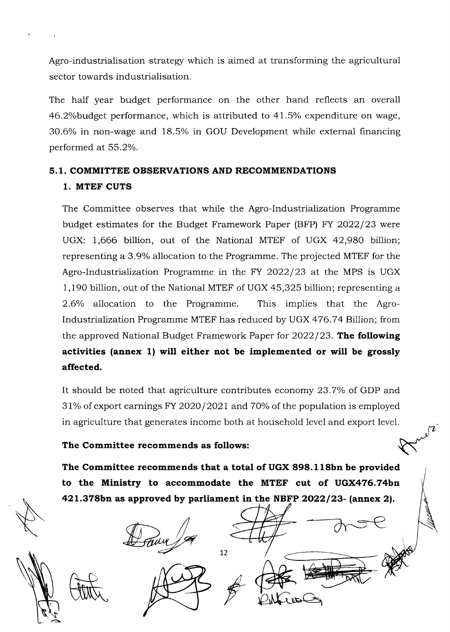Agro-industrialisation strategy which is aimed at transforming the agricultural sector towards industrialisation.

The half year budget performance on the other hand reflects an overall 46.2% budget performance, which is attributed to 41.5% expenditure on wage, 30.6% in non-wage and 18.5% in GOU Development while external financing performed at 55.2%.

# 5. 1. COMMITTEE OBSERVATIONS AND RECOMMENDATIONS 1. MTEF CUTS

The Committee observes that while the Agro-lndustrialization Programme budget estimates for the Budget Framework Paper (BFP) FY 2022/23 were UGX: 1,666 billion, out of the National MTEF of UGX 42,980 billion; representing a 3.9% allocation to the Programme. The projected MTEF for the Agro-Industrialization Programme in the FY  $2022/23$  at the MPS is UGX 1,190 billion, out of the National MTEF of UGX 45,325 billion; representing a 2.6% allocation to the Programme. This implies that the Agro-Industriahzation Programme MTEF has reduced by UGX 476.74 Billion; from the approved National Budget Framework Paper for  $2022/23$ . The following activities (annex 1) will either not be implemented or will be grossly affected.

It should be noted that agriculture contributes economy 23.7% of GDP and  $31\%$  of export earnings FY 2020/2021 and 70% of the population is employed in agriculture that generates income both at household level and export level.

# The Committee recommends as follows:

The Committee recommends that a total of UGX 898.118bn be provided to the Ministry to accommodate the MTEF cut of UGX476.74bn 421.378bn as approved by parliament in the NBFP 2022/23- (annex 2).

 $\dot{\,}$ 

L2

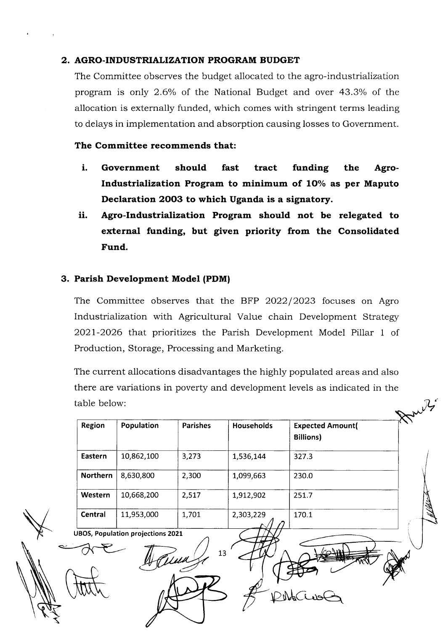## 2. AGRO.INDUSTRIALIZATION PROGRAM BUDGET

The Committee observes the budget allocated to the agro-industrialization program is only 2.6% of the National Budget and over 43.3% of the allocation is externally funded, which comes with stringent terms leading to delays in implementation and absorption causing losses to Government.

## The Committee recommends that:

- i. Government should fast tract funding the Agro-Industrialization Program to minimum of 10% as per Maputo Declaration 2OO3 to which Uganda is a signatory.
- ii. Agro-Industrialization Program should not be relegated to external funding, but given priority from the Consolidated Fund.

### 3. Parish Development Modet (PDM)

The Committee observes that the BFP 2022/2023 focuses on Agro Industrialization with Agricultural Value chain Development Strategy 2027-2026 that prioritizes the Parish Development Model Pillar 1 of Production, Storage, Processing and Marketing.

The current allocations disadvantages the highly populated areas and also there are variations in poverty and development levels as indicated in the table below:

Region Population Parishes Households Expected Amount Billions) Eastern | 10,862,100 | 3,273 | 1,536,144 | 327.3 **Northern** 8,630,800 2,300 1,099,663 230.0 Western 10,668,200 2,517 1,912,902 251.7 **Central** | 11,953,000 | 1,701 | 2,303,229 170.1.  $\mathcal{A}$   $\rho$ UBOS, Population projections 2021 13ונגד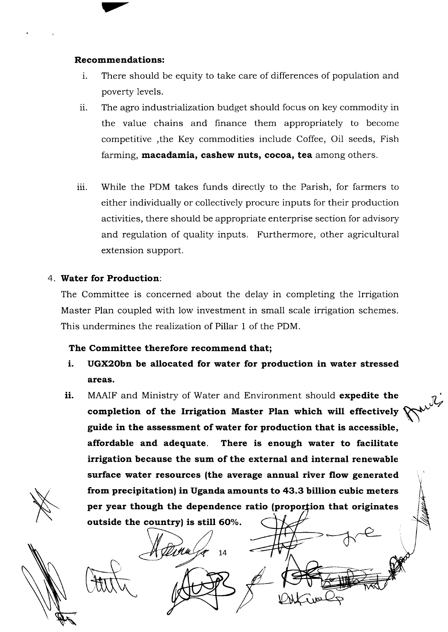### Recommendations:

 $\blacktriangledown$ 

- i. There should be equity to take care of differences of population and poverty levels.
- ii. The agro industrialization budget should focus on key commodity in the value chains and finance them appropriately to become competitive ,the Key commodities include Coffee, Oil seeds, Fish farming, macadamia, cashew nuts, cocoa, tea among others.
- iii. While the PDM takes funds directly to the Parish, for farmers to either individually or collectively procure inputs for their production activities, there should be appropriate enterprise section for advisory and regulation of quality inputs. Furthermore, other agricultural extension support.

### 4. Water for Production:

The Committee is concerned about the delay in completing the Irrigation Master Plan coupled with low investment in small scale irrigation schemes. This undermines the realization of Pillar 1 of the PDM.

### The Committee therefore recommend that;

- i. UGX2Obn be allocated for water for production in water stressed areas.
- ii. MAAIF and Ministry of Water and Environment should expedite the completion of the lrrigation Master Plan which will effectively guide in the assessment of water for production that is accessible, affordable and adequate. There is enough water to facilitate irrigation because the sum of the external and internal renewable surface water resources (the average annual river flow generated from precipitation) in Uganda amounts to 43.3 billion cubic meters per year though the dependence ratio (proportion that originates outside the country) is still 60%.

L4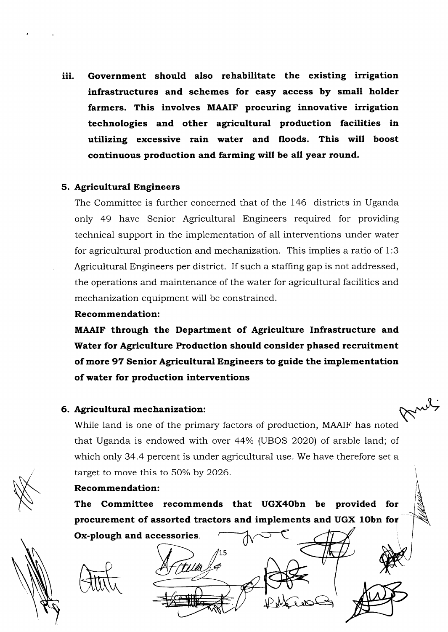iii. Government should also rehabilitate the existing irrigation infrastructures and schemes for easy access by small holder farmers. This involves MAAIF procuring innovative irrigation technologies and other agricultural production facilities in utilizing excessive rain water and floods. This will boost continuous production and farming will be all year round.

### 5. Agricultural Engineers

The Committee is further concerned that of the 146 districts in Uganda only 49 have Senior Agricultural Engineers required for providing technical support in the implementation of all interventions under water for agricultural production and mechanization. This implies a ratio of 1:3 Agricultural Engineers per district. If such a staffing gap is not addressed, the operations and maintenance of the water for agricultural facilities and mechanization equipment will be constrained.

#### Recommendation:

MAAIF through the Department of Agriculture Infrastructure and Water for Agriculture Production should consider phased recruitment of more 97 Senior Agricultural Engineers to guide the implementation of water for production interventions

### 6. Agricultural mechanization:

Mul While land is one of the primary factors of production, MAAIF has noted that Uganda is endowed with over 44% (UBOS 2020) of arable land; of which only 34.4 percent is under agricultural use. We have therefore set a target to move this to 5O% by 2026.

### Recommendation:

The Committee recommends that UGX4Obn be provided for procurement of assorted tractors and implements and UGX 10bn for Ox-plough and accessories.

15